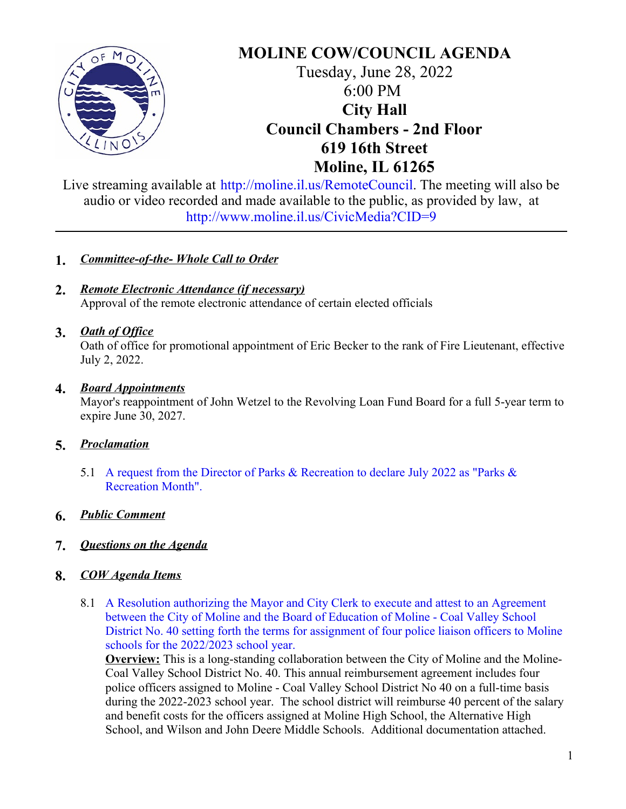

# **MOLINE COW/COUNCIL AGENDA** Tuesday, June 28, 2022 6:00 PM **City Hall Council Chambers - 2nd Floor 619 16th Street Moline, IL 61265**

Live streaming available at <http://moline.il.us/RemoteCouncil>. The meeting will also be audio or video recorded and made available to the public, as provided by law, at <http://www.moline.il.us/CivicMedia?CID=9>

## **1.** *Committee-of-the- Whole Call to Order*

**2.** *Remote Electronic Attendance (if necessary)* Approval of the remote electronic attendance of certain elected officials

# **3.** *Oath of Of ice*

Oath of office for promotional appointment of Eric Becker to the rank of Fire Lieutenant, effective July 2, 2022.

## **4.** *Board Appointments*

Mayor's reappointment of John Wetzel to the Revolving Loan Fund Board for a full 5-year term to expire June 30, 2027.

# **5.** *Proclamation*

5.1 A request from the Director of Parks & [Recreation](https://d2kbkoa27fdvtw.cloudfront.net/molineil/965aceebe732dba83eec3b7c2cad9ae70.pdf) to declare July 2022 as "Parks & Recreation Month".

#### **6.** *Public Comment*

#### **7.** *Questions on the Agenda*

#### **8.** *COW Agenda Items*

8.1 A Resolution [authorizing](https://d2kbkoa27fdvtw.cloudfront.net/molineil/70ac64895d5866df0618b0a129aeb45b0.pdf) the Mayor and City Clerk to execute and attest to an Agreement between the City of Moline and the Board of Education of Moline - Coal Valley School District No. 40 setting forth the terms for assignment of four police liaison officers to Moline schools for the 2022/2023 school year.

**Overview:** This is a long-standing collaboration between the City of Moline and the Moline-Coal Valley School District No. 40. This annual reimbursement agreement includes four police officers assigned to Moline - Coal Valley School District No 40 on a full-time basis during the 2022-2023 school year. The school district will reimburse 40 percent of the salary and benefit costs for the officers assigned at Moline High School, the Alternative High School, and Wilson and John Deere Middle Schools. Additional documentation attached.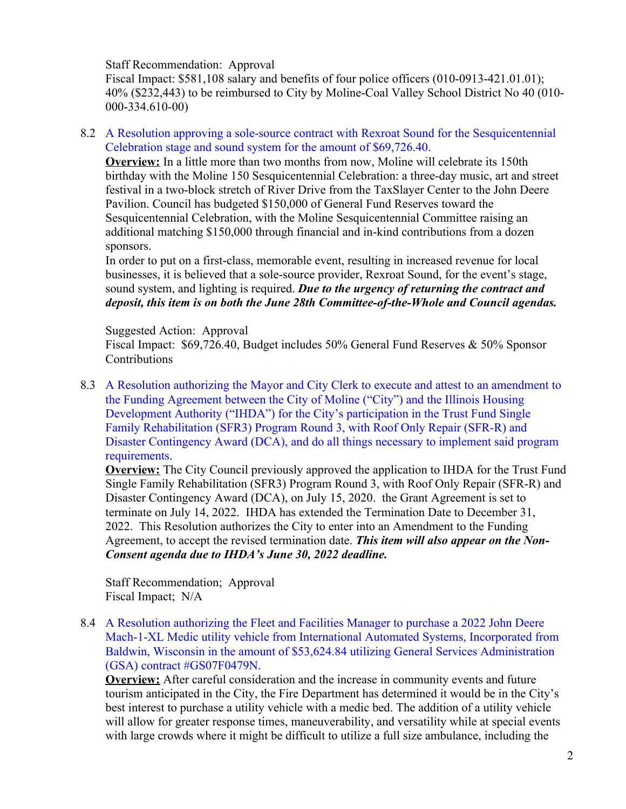Staff Recommendation: Approval

Fiscal Impact: \$581,108 salary and benefits of four police officers (010-0913-421.01.01); 40% (\$232,443) to be reimbursed to City by Moline-Coal Valley School District No 40 (010- 000-334.610-00)

8.2 A Resolution approving a sole-source contract with Rexroat Sound for the [Sesquicentennial](https://d2kbkoa27fdvtw.cloudfront.net/molineil/9b21e423f90194706fd07584a36b51770.pdf) Celebration stage and sound system for the amount of \$69,726.40.

**Overview:** In a little more than two months from now, Moline will celebrate its 150th birthday with the Moline 150 Sesquicentennial Celebration: a three-day music, art and street festival in a two-block stretch of River Drive from the TaxSlayer Center to the John Deere Pavilion. Council has budgeted \$150,000 of General Fund Reserves toward the Sesquicentennial Celebration, with the Moline Sesquicentennial Committee raising an additional matching \$150,000 through financial and in-kind contributions from a dozen sponsors.

In order to put on a first-class, memorable event, resulting in increased revenue for local businesses, it is believed that a sole-source provider, Rexroat Sound, for the event's stage, sound system, and lighting is required. *Due to the urgency of returning the contract and deposit, this item is on both the June 28th Committee-of-the-Whole and Council agendas.*

#### Suggested Action: Approval

Fiscal Impact: \$69,726.40, Budget includes 50% General Fund Reserves & 50% Sponsor Contributions

8.3 A Resolution authorizing the Mayor and City Clerk to execute and attest to an amendment to the Funding Agreement between the City of Moline ("City") and the Illinois Housing Development Authority ("IHDA") for the City's participation in the Trust Fund Single Family [Rehabilitation](https://d2kbkoa27fdvtw.cloudfront.net/molineil/e511f1878eae9029fd24f0e1e8e08ab60.) (SFR3) Program Round 3, with Roof Only Repair (SFR-R) and Disaster Contingency Award (DCA), and do all things necessary to implement said program requirements.

**Overview:** The City Council previously approved the application to IHDA for the Trust Fund Single Family Rehabilitation (SFR3) Program Round 3, with Roof Only Repair (SFR-R) and Disaster Contingency Award (DCA), on July 15, 2020. the Grant Agreement is set to terminate on July 14, 2022. IHDA has extended the Termination Date to December 31, 2022. This Resolution authorizes the City to enter into an Amendment to the Funding Agreement, to accept the revised termination date. *This item will also appear on the Non-Consent agenda due to IHDA's June 30, 2022 deadline.*

Staff Recommendation; Approval Fiscal Impact; N/A

8.4 A Resolution authorizing the Fleet and Facilities Manager to purchase a 2022 John Deere Mach-1-XL Medic utility vehicle from International Automated Systems, Incorporated from Baldwin, Wisconsin in the amount of \$53,624.84 utilizing General Services [Administration](https://d2kbkoa27fdvtw.cloudfront.net/molineil/f323098d9295bd36e83253fdd7ac5ca10.pdf) (GSA) contract #GS07F0479N.

**Overview:** After careful consideration and the increase in community events and future tourism anticipated in the City, the Fire Department has determined it would be in the City's best interest to purchase a utility vehicle with a medic bed. The addition of a utility vehicle will allow for greater response times, maneuverability, and versatility while at special events with large crowds where it might be difficult to utilize a full size ambulance, including the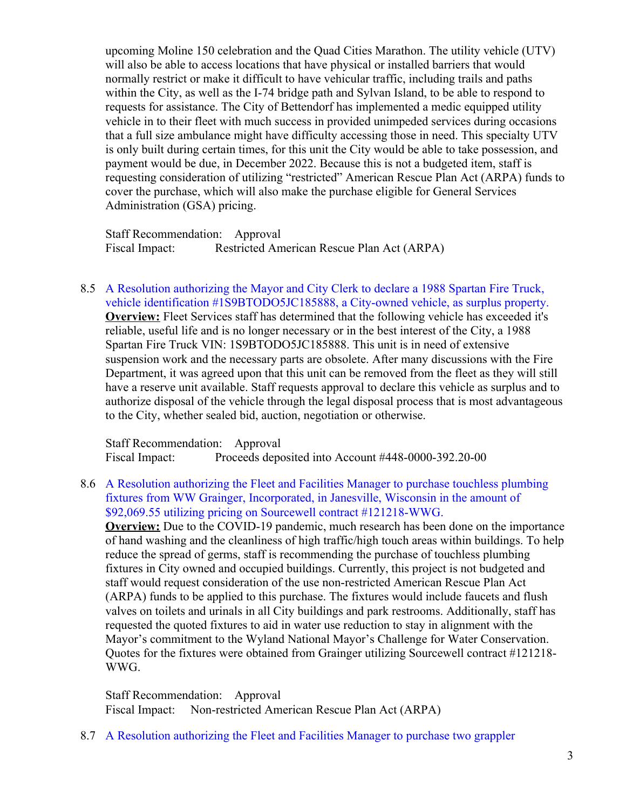upcoming Moline 150 celebration and the Quad Cities Marathon. The utility vehicle (UTV) will also be able to access locations that have physical or installed barriers that would normally restrict or make it difficult to have vehicular traffic, including trails and paths within the City, as well as the I-74 bridge path and Sylvan Island, to be able to respond to requests for assistance. The City of Bettendorf has implemented a medic equipped utility vehicle in to their fleet with much success in provided unimpeded services during occasions that a full size ambulance might have difficulty accessing those in need. This specialty UTV is only built during certain times, for this unit the City would be able to take possession, and payment would be due, in December 2022. Because this is not a budgeted item, staff is requesting consideration of utilizing "restricted" American Rescue Plan Act (ARPA) funds to cover the purchase, which will also make the purchase eligible for General Services Administration (GSA) pricing.

Staff Recommendation: Approval Fiscal Impact: Restricted American Rescue Plan Act (ARPA)

8.5 A Resolution authorizing the Mayor and City Clerk to declare a 1988 Spartan Fire Truck, vehicle identification [#1S9BTODO5JC185888,](https://d2kbkoa27fdvtw.cloudfront.net/molineil/261034b3fd30893e38990e2b3a2bbfe60.) a City-owned vehicle, as surplus property. **Overview:** Fleet Services staff has determined that the following vehicle has exceeded it's reliable, useful life and is no longer necessary or in the best interest of the City, a 1988 Spartan Fire Truck VIN: 1S9BTODO5JC185888. This unit is in need of extensive suspension work and the necessary parts are obsolete. After many discussions with the Fire Department, it was agreed upon that this unit can be removed from the fleet as they will still have a reserve unit available. Staff requests approval to declare this vehicle as surplus and to authorize disposal of the vehicle through the legal disposal process that is most advantageous to the City, whether sealed bid, auction, negotiation or otherwise.

Staff Recommendation: Approval Fiscal Impact: Proceeds deposited into Account #448-0000-392.20-00

8.6 A Resolution authorizing the Fleet and Facilities Manager to purchase touchless plumbing fixtures from WW Grainger, Incorporated, in Janesville, Wisconsin in the amount of \$92,069.55 utilizing pricing on Sourcewell contract [#121218-WWG.](https://d2kbkoa27fdvtw.cloudfront.net/molineil/3b1c78a4888e7cb8ddaa2cc233d2348d0.)

**Overview:** Due to the COVID-19 pandemic, much research has been done on the importance of hand washing and the cleanliness of high traffic/high touch areas within buildings. To help reduce the spread of germs, staff is recommending the purchase of touchless plumbing fixtures in City owned and occupied buildings. Currently, this project is not budgeted and staff would request consideration of the use non-restricted American Rescue Plan Act (ARPA) funds to be applied to this purchase. The fixtures would include faucets and flush valves on toilets and urinals in all City buildings and park restrooms. Additionally, staff has requested the quoted fixtures to aid in water use reduction to stay in alignment with the Mayor's commitment to the Wyland National Mayor's Challenge for Water Conservation. Quotes for the fixtures were obtained from Grainger utilizing Sourcewell contract #121218- WWG.

Staff Recommendation: Approval Fiscal Impact: Non-restricted American Rescue Plan Act (ARPA)

8.7 A Resolution authorizing the Fleet and Facilities Manager to purchase two grappler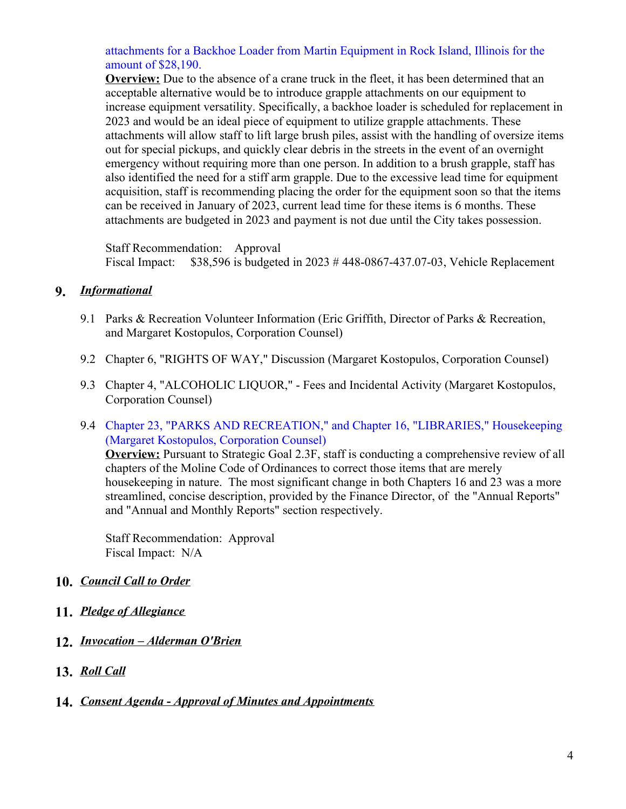[attachments](https://d2kbkoa27fdvtw.cloudfront.net/molineil/20aa88ca2d383fd023a844ac237a34c70.pdf) for a Backhoe Loader from Martin Equipment in Rock Island, Illinois for the amount of \$28,190.

**Overview:** Due to the absence of a crane truck in the fleet, it has been determined that an acceptable alternative would be to introduce grapple attachments on our equipment to increase equipment versatility. Specifically, a backhoe loader is scheduled for replacement in 2023 and would be an ideal piece of equipment to utilize grapple attachments. These attachments will allow staff to lift large brush piles, assist with the handling of oversize items out for special pickups, and quickly clear debris in the streets in the event of an overnight emergency without requiring more than one person. In addition to a brush grapple, staff has also identified the need for a stiff arm grapple. Due to the excessive lead time for equipment acquisition, staff is recommending placing the order for the equipment soon so that the items can be received in January of 2023, current lead time for these items is 6 months. These attachments are budgeted in 2023 and payment is not due until the City takes possession.

Staff Recommendation: Approval Fiscal Impact: \$38,596 is budgeted in 2023 # 448-0867-437.07-03, Vehicle Replacement

#### **9.** *Informational*

- 9.1 Parks & Recreation Volunteer Information (Eric Griffith, Director of Parks & Recreation, and Margaret Kostopulos, Corporation Counsel)
- 9.2 Chapter 6, "RIGHTS OF WAY," Discussion (Margaret Kostopulos, Corporation Counsel)
- 9.3 Chapter 4, "ALCOHOLIC LIQUOR," Fees and Incidental Activity (Margaret Kostopulos, Corporation Counsel)
- 9.4 Chapter 23, "PARKS AND [RECREATION,"](https://d2kbkoa27fdvtw.cloudfront.net/molineil/316a9d3ca16a5a0029a939e9eac48c190.pdf) and Chapter 16, "LIBRARIES," Housekeeping (Margaret Kostopulos, Corporation Counsel)

**Overview:** Pursuant to Strategic Goal 2.3F, staff is conducting a comprehensive review of all chapters of the Moline Code of Ordinances to correct those items that are merely housekeeping in nature. The most significant change in both Chapters 16 and 23 was a more streamlined, concise description, provided by the Finance Director, of the "Annual Reports" and "Annual and Monthly Reports" section respectively.

Staff Recommendation: Approval Fiscal Impact: N/A

#### **10.** *Council Call to Order*

- **11.** *Pledge of Allegiance*
- **12.** *Invocation – Alderman O'Brien*
- **13.** *Roll Call*
- **14.** *Consent Agenda - Approval of Minutes and Appointments*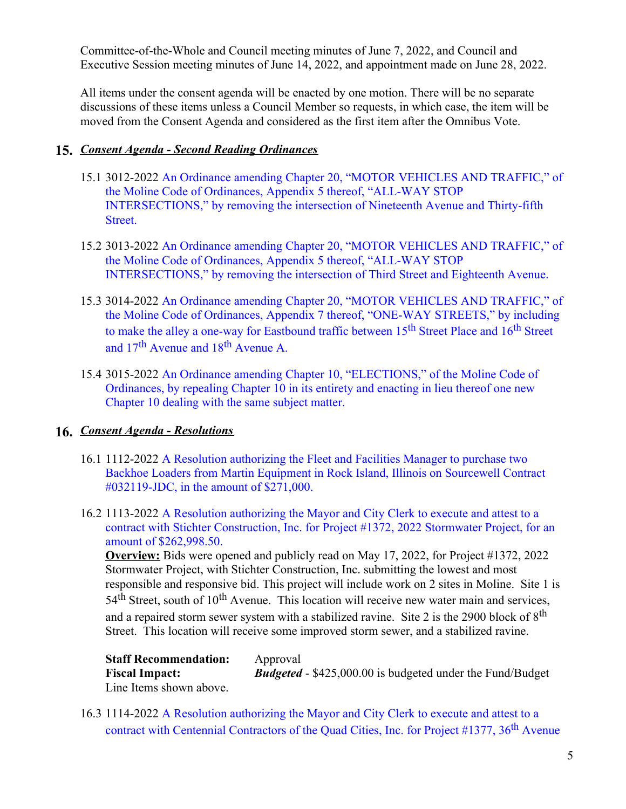Committee-of-the-Whole and Council meeting minutes of June 7, 2022, and Council and Executive Session meeting minutes of June 14, 2022, and appointment made on June 28, 2022.

All items under the consent agenda will be enacted by one motion. There will be no separate discussions of these items unless a Council Member so requests, in which case, the item will be moved from the Consent Agenda and considered as the first item after the Omnibus Vote.

### **15.** *Consent Agenda - Second Reading Ordinances*

- 15.1 3012-2022 An Ordinance amending Chapter 20, "MOTOR VEHICLES AND TRAFFIC," of the Moline Code of Ordinances, Appendix 5 thereof, "ALL-WAY STOP [INTERSECTIONS,"](https://d2kbkoa27fdvtw.cloudfront.net/molineil/e463759b00a7261b35c2a394603c28d00.pdf) by removing the intersection of Nineteenth Avenue and Thirty-fifth Street.
- 15.2 3013-2022 An Ordinance amending Chapter 20, "MOTOR VEHICLES AND TRAFFIC," of the Moline Code of Ordinances, Appendix 5 thereof, "ALL-WAY STOP [INTERSECTIONS,"](https://d2kbkoa27fdvtw.cloudfront.net/molineil/85a7fbb43acade6d393c0789794334350.pdf) by removing the intersection of Third Street and Eighteenth Avenue.
- 15.3 3014-2022 An Ordinance amending Chapter 20, "MOTOR VEHICLES AND TRAFFIC," of the Moline Code of Ordinances, Appendix 7 thereof, ["ONE-WAY](https://d2kbkoa27fdvtw.cloudfront.net/molineil/8f26806aa72729f1e1bb02c1a6ff16660.pdf) STREETS," by including to make the alley a one-way for Eastbound traffic between 15<sup>th</sup> Street Place and 16<sup>th</sup> Street and  $17<sup>th</sup>$  Avenue and  $18<sup>th</sup>$  Avenue A.
- 15.4 3015-2022 An Ordinance amending Chapter 10, ["ELECTIONS,"](https://d2kbkoa27fdvtw.cloudfront.net/molineil/f4af15a89a61c3e3d30098ed1105d5240.pdf) of the Moline Code of Ordinances, by repealing Chapter 10 in its entirety and enacting in lieu thereof one new Chapter 10 dealing with the same subject matter.

# **16.** *Consent Agenda - Resolutions*

- 16.1 1112-2022 A Resolution authorizing the Fleet and Facilities Manager to purchase two Backhoe Loaders from Martin Equipment in Rock Island, Illinois on Sourcewell Contract [#032119-JDC,](https://d2kbkoa27fdvtw.cloudfront.net/molineil/72c6427185fe8aaf7fb2e3eaed46c2160.pdf) in the amount of \$271,000.
- 16.2 1113-2022 A Resolution authorizing the Mayor and City Clerk to execute and attest to a contract with Stichter [Construction,](https://d2kbkoa27fdvtw.cloudfront.net/molineil/6a5d194fb1b162eedae5047b129b00290.pdf) Inc. for Project #1372, 2022 Stormwater Project, for an amount of \$262,998.50.

**Overview:** Bids were opened and publicly read on May 17, 2022, for Project #1372, 2022 Stormwater Project, with Stichter Construction, Inc. submitting the lowest and most responsible and responsive bid. This project will include work on 2 sites in Moline. Site 1 is 54<sup>th</sup> Street, south of 10<sup>th</sup> Avenue. This location will receive new water main and services, and a repaired storm sewer system with a stabilized ravine. Site 2 is the 2900 block of  $8<sup>th</sup>$ Street. This location will receive some improved storm sewer, and a stabilized ravine.

| <b>Staff Recommendation:</b> | Approval                                                         |
|------------------------------|------------------------------------------------------------------|
| <b>Fiscal Impact:</b>        | <b>Budgeted - \$425,000.00</b> is budgeted under the Fund/Budget |
| Line Items shown above.      |                                                                  |

16.3 1114-2022 A Resolution authorizing the Mayor and City Clerk to execute and attest to a contract with Centennial [Contractors](https://d2kbkoa27fdvtw.cloudfront.net/molineil/638163a4d782ed1354a8424ea2fc73da0.pdf) of the Quad Cities, Inc. for Project #1377, 36<sup>th</sup> Avenue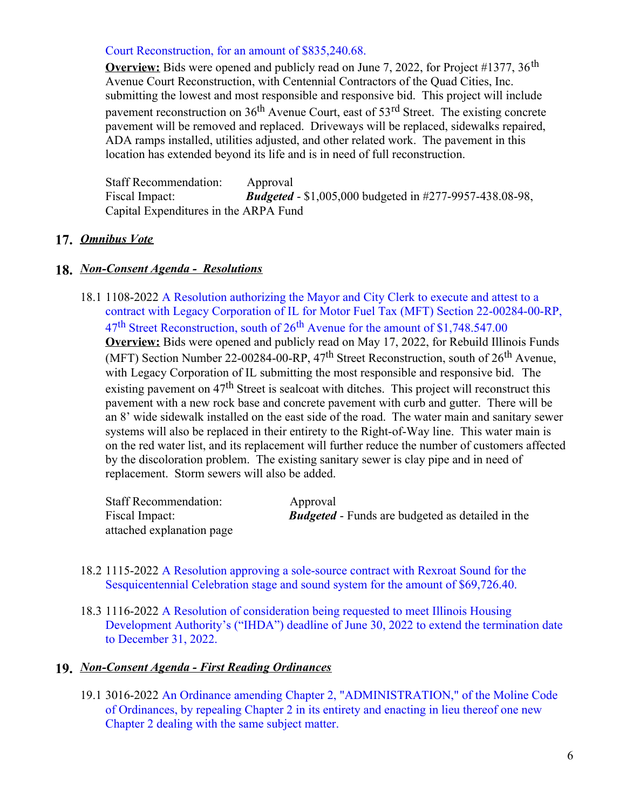#### Court Reconstruction, for an amount of \$835,240.68.

**Overview:** Bids were opened and publicly read on June 7, 2022, for Project #1377, 36<sup>th</sup> Avenue Court Reconstruction, with Centennial Contractors of the Quad Cities, Inc. submitting the lowest and most responsible and responsive bid. This project will include pavement reconstruction on 36<sup>th</sup> Avenue Court, east of 53<sup>rd</sup> Street. The existing concrete pavement will be removed and replaced. Driveways will be replaced, sidewalks repaired, ADA ramps installed, utilities adjusted, and other related work. The pavement in this location has extended beyond its life and is in need of full reconstruction.

Staff Recommendation: Approval Fiscal Impact: *Budgeted* - \$1,005,000 budgeted in #277-9957-438.08-98, Capital Expenditures in the ARPA Fund

#### **17.** *Omnibus Vote*

#### **18.** *Non-Consent Agenda - Resolutions*

18.1 1108-2022 A Resolution authorizing the Mayor and City Clerk to execute and attest to a contract with Legacy Corporation of IL for Motor Fuel Tax (MFT) Section [22-00284-00-RP,](https://d2kbkoa27fdvtw.cloudfront.net/molineil/e02af38432e711b8259cc905476ed4ab0.pdf) 47<sup>th</sup> Street Reconstruction, south of 26<sup>th</sup> Avenue for the amount of \$1,748.547.00 **Overview:** Bids were opened and publicly read on May 17, 2022, for Rebuild Illinois Funds (MFT) Section Number 22-00284-00-RP, 47<sup>th</sup> Street Reconstruction, south of 26<sup>th</sup> Avenue, with Legacy Corporation of IL submitting the most responsible and responsive bid. The existing pavement on  $47<sup>th</sup>$  Street is sealcoat with ditches. This project will reconstruct this pavement with a new rock base and concrete pavement with curb and gutter. There will be an 8' wide sidewalk installed on the east side of the road. The water main and sanitary sewer systems will also be replaced in their entirety to the Right-of-Way line. This water main is on the red water list, and its replacement will further reduce the number of customers affected by the discoloration problem. The existing sanitary sewer is clay pipe and in need of replacement. Storm sewers will also be added.

| <b>Staff Recommendation:</b> | Approval                                                |
|------------------------------|---------------------------------------------------------|
| Fiscal Impact:               | <b>Budgeted</b> - Funds are budgeted as detailed in the |
| attached explanation page    |                                                         |

- 18.2 1115-2022 A Resolution approving a sole-source contract with Rexroat Sound for the [Sesquicentennial](https://d2kbkoa27fdvtw.cloudfront.net/molineil/377039a735d39b1e09e531b2980e76850.pdf) Celebration stage and sound system for the amount of \$69,726.40.
- 18.3 1116-2022 A Resolution of consideration being requested to meet Illinois Housing [Development](https://d2kbkoa27fdvtw.cloudfront.net/molineil/1a3b69e368e59483d06e1de0a1546fbb0.pdf) Authority's ("IHDA") deadline of June 30, 2022 to extend the termination date to December 31, 2022.

#### **19.** *Non-Consent Agenda - First Reading Ordinances*

19.1 3016-2022 An Ordinance amending Chapter 2, ["ADMINISTRATION,"](https://d2kbkoa27fdvtw.cloudfront.net/molineil/9717fa17636861ef2188114897196da60.pdf) of the Moline Code of Ordinances, by repealing Chapter 2 in its entirety and enacting in lieu thereof one new Chapter 2 dealing with the same subject matter.